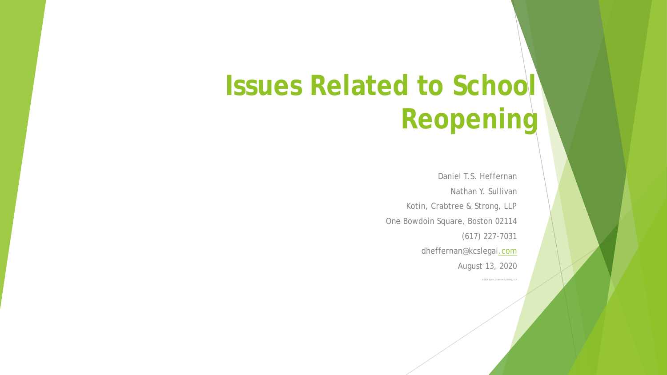# **Issues Related to School Reopening**

Daniel T.S. Heffernan Nathan Y. Sullivan Kotin, Crabtree & Strong, LLP One Bowdoin Square, Boston 02114 (617) 227-7031 dheffernan@kcslega[l.com](mailto:ehagerty@kcslegal.com) August 13, 2020

© 2020 Kotin, Crabtree & Strong, LLP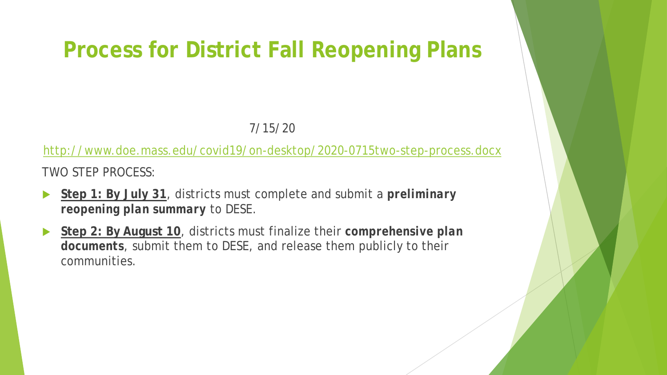#### **Process for District Fall Reopening Plans**

#### 7/15/20

<http://www.doe.mass.edu/covid19/on-desktop/2020-0715two-step-process.docx>

TWO STEP PROCESS:

- **Step 1: By July 31**, districts must complete and submit a *preliminary reopening plan summary* to DESE.
- **Step 2: By August 10**, districts must finalize their *comprehensive plan documents*, submit them to DESE, and release them publicly to their communities.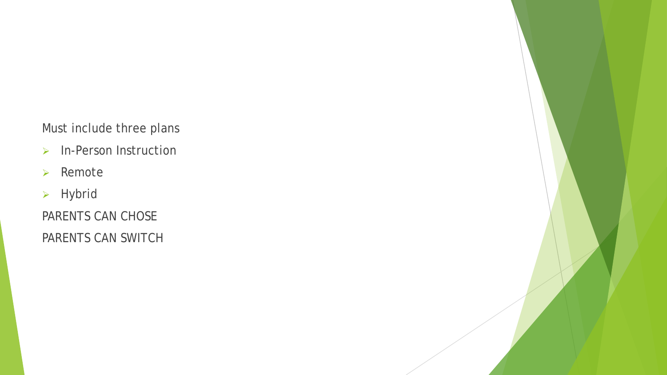Must include three plans

- $\triangleright$  In-Person Instruction
- $\triangleright$  Remote
- > Hybrid

PARENTS CAN CHOSE

PARENTS CAN SWITCH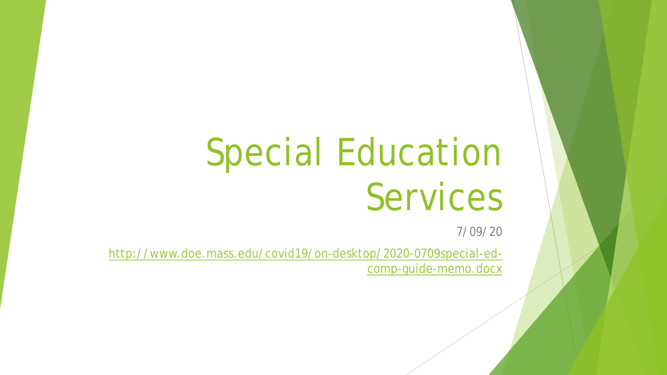# Special Education Services

7/09/20

[http://www.doe.mass.edu/covid19/on-desktop/2020-0709special-ed](http://www.doe.mass.edu/covid19/on-desktop/2020-0709special-ed-comp-guide-memo.docx)comp-guide-memo.docx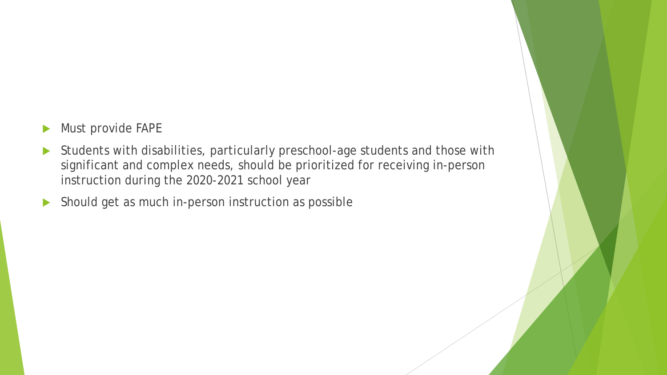- **Must provide FAPE**
- Students with disabilities, particularly preschool-age students and those with significant and complex needs, should be prioritized for receiving in-person instruction during the 2020-2021 school year
- Should get as much in-person instruction as possible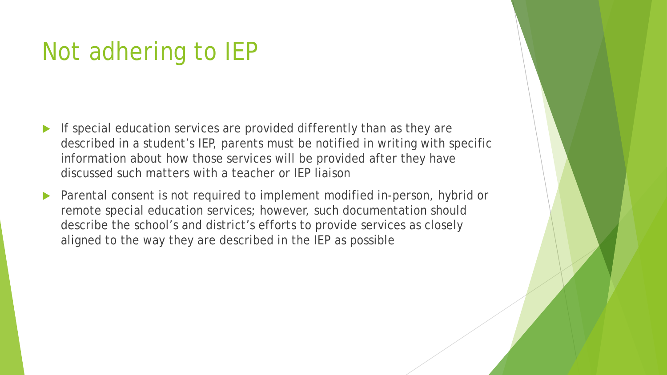# Not adhering to IEP

- If special education services are provided differently than as they are described in a student's IEP, parents must be notified in writing with specific information about how those services will be provided after they have discussed such matters with a teacher or IEP liaison
- Parental consent is not required to implement modified in-person, hybrid or remote special education services; however, such documentation should describe the school's and district's efforts to provide services as closely aligned to the way they are described in the IEP as possible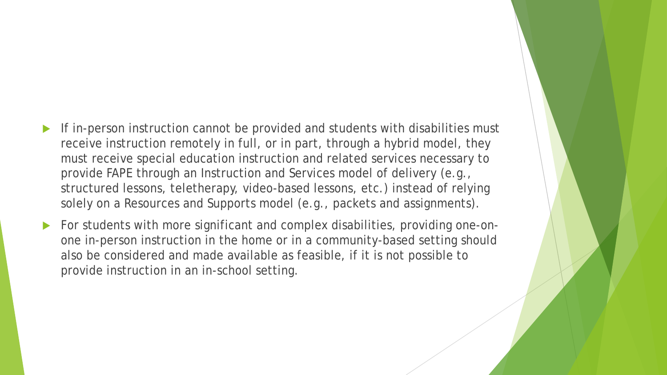- If in-person instruction cannot be provided and students with disabilities must receive instruction remotely in full, or in part, through a hybrid model, they must receive special education instruction and related services necessary to provide FAPE through an Instruction and Services model of delivery (e.g., structured lessons, teletherapy, video-based lessons, etc.) instead of relying solely on a Resources and Supports model (e.g., packets and assignments).
- For students with more significant and complex disabilities, providing one-onone in-person instruction in the home or in a community-based setting should also be considered and made available as feasible, if it is not possible to provide instruction in an in-school setting.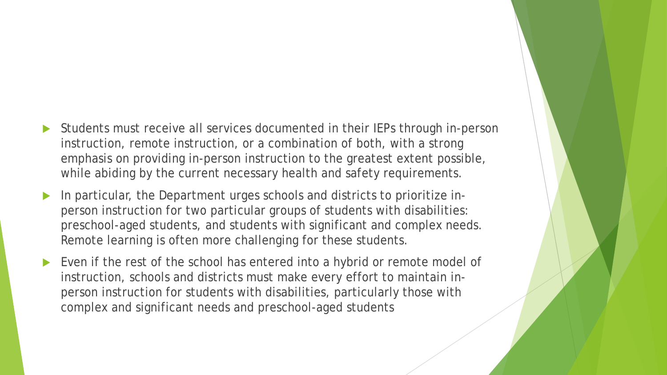- Students must receive all services documented in their IEPs through in-person instruction, remote instruction, or a combination of both, with a strong emphasis on providing in-person instruction to the greatest extent possible, while abiding by the current necessary health and safety requirements.
- In particular, the Department urges schools and districts to prioritize inperson instruction for two particular groups of students with disabilities: preschool-aged students, and students with significant and complex needs. Remote learning is often more challenging for these students.
- Even if the rest of the school has entered into a hybrid or remote model of instruction, schools and districts must make every effort to maintain inperson instruction for students with disabilities, particularly those with complex and significant needs and preschool-aged students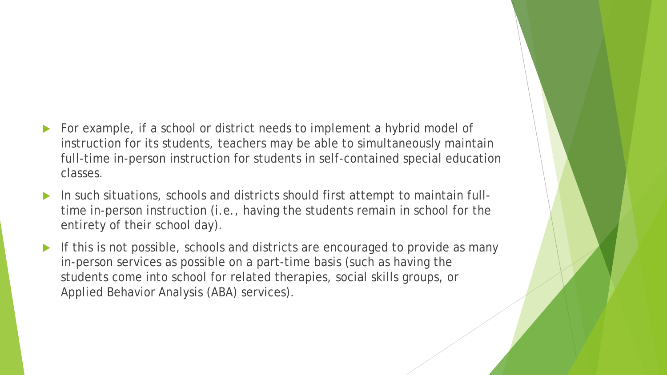- For example, if a school or district needs to implement a hybrid model of instruction for its students, teachers may be able to simultaneously maintain full-time in-person instruction for students in self-contained special education classes.
- In such situations, schools and districts should first attempt to maintain fulltime in-person instruction (i.e., having the students remain in school for the entirety of their school day).
- If this is not possible, schools and districts are encouraged to provide as many in-person services as possible on a part-time basis (such as having the students come into school for related therapies, social skills groups, or Applied Behavior Analysis (ABA) services).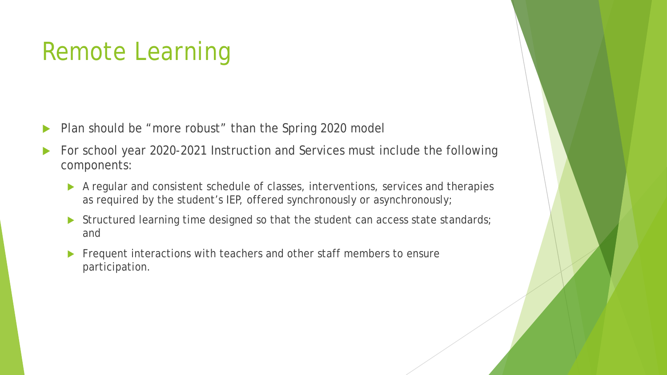# Remote Learning

- Plan should be "more robust" than the Spring 2020 model
- For school year 2020-2021 Instruction and Services must include the following components:
	- A regular and consistent schedule of classes, interventions, services and therapies as required by the student's IEP, offered synchronously or asynchronously;
	- Structured learning time designed so that the student can access state standards; and
	- Frequent interactions with teachers and other staff members to ensure participation.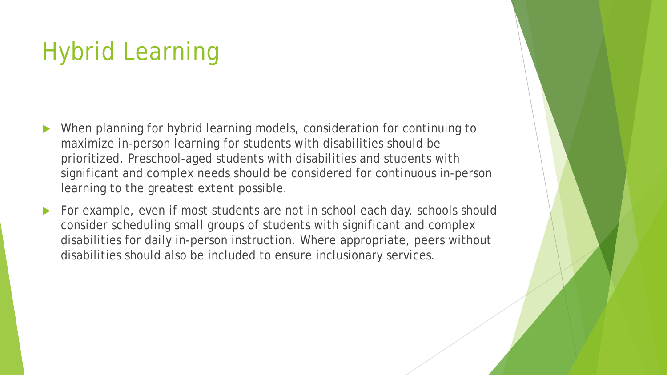# Hybrid Learning

- When planning for hybrid learning models, consideration for continuing to maximize in-person learning for students with disabilities should be prioritized. Preschool-aged students with disabilities and students with significant and complex needs should be considered for continuous in-person learning to the greatest extent possible.
- For example, even if most students are not in school each day, schools should consider scheduling small groups of students with significant and complex disabilities for daily in-person instruction. Where appropriate, peers without disabilities should also be included to ensure inclusionary services.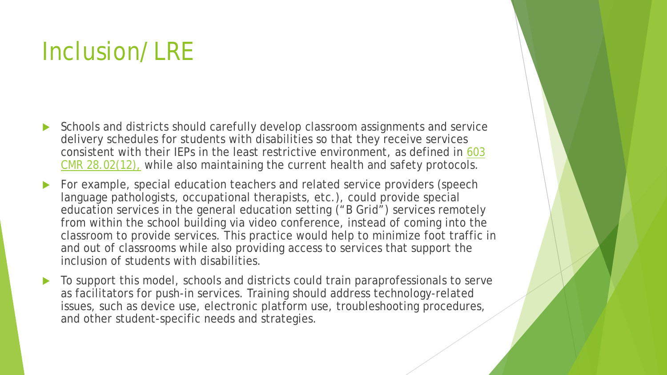# Inclusion/LRE

- Schools and districts should carefully develop classroom assignments and service delivery schedules for students with disabilities so that they receive services [consistent with their IEPs in the least restrictive environment, as defined in 603](http://www.doe.mass.edu/lawsregs/603cmr28.html?section=all) CMR 28.02(12), while also maintaining the current health and safety protocols.
- For example, special education teachers and related service providers (speech language pathologists, occupational therapists, etc.), could provide special education services in the general education setting ("B Grid") services remotely from within the school building via video conference, instead of coming into the classroom to provide services. This practice would help to minimize foot traffic in and out of classrooms while also providing access to services that support the inclusion of students with disabilities.
- To support this model, schools and districts could train paraprofessionals to serve as facilitators for push-in services. Training should address technology-related issues, such as device use, electronic platform use, troubleshooting procedures, and other student-specific needs and strategies.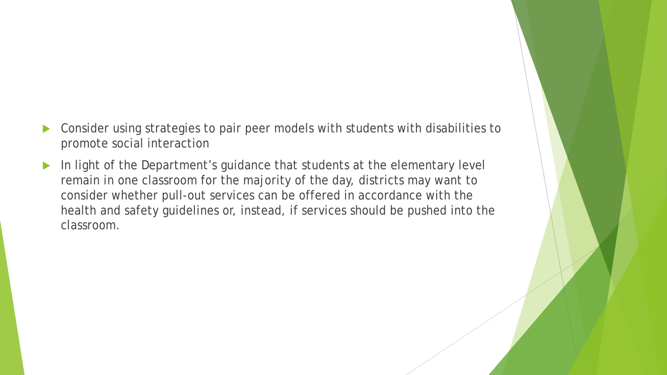- Consider using strategies to pair peer models with students with disabilities to promote social interaction
- In light of the Department's guidance that students at the elementary level remain in one classroom for the majority of the day, districts may want to consider whether pull-out services can be offered in accordance with the health and safety guidelines or, instead, if services should be pushed into the classroom.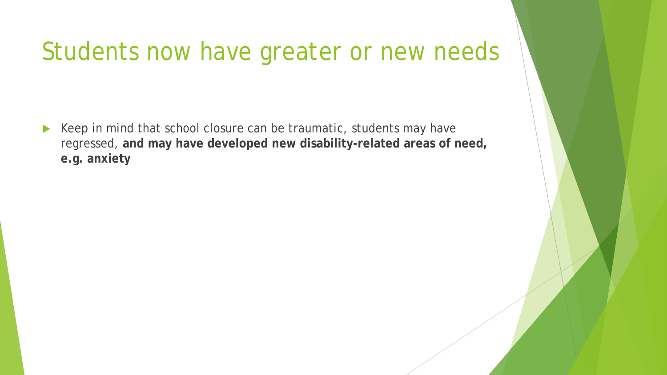### Students now have greater or new needs

 $\blacktriangleright$  Keep in mind that school closure can be traumatic, students may have regressed, **and may have developed new disability-related areas of need, e.g. anxiety**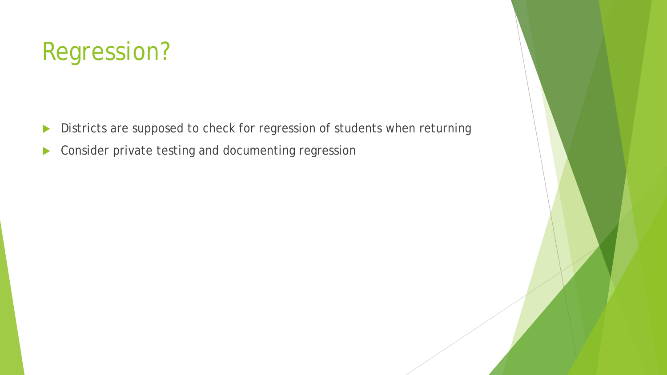# Regression?

- Districts are supposed to check for regression of students when returning
- **Consider private testing and documenting regression**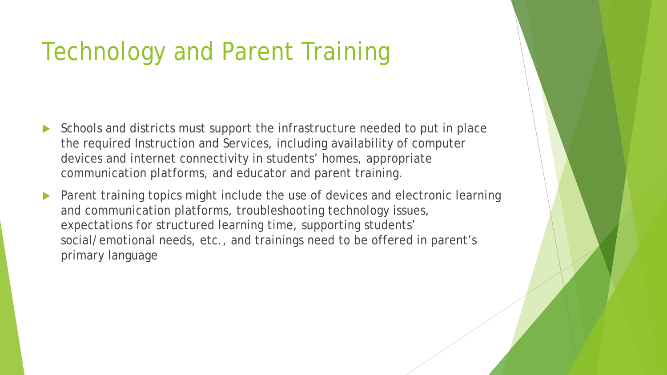# Technology and Parent Training

- Schools and districts must support the infrastructure needed to put in place the required Instruction and Services, including availability of computer devices and internet connectivity in students' homes, appropriate communication platforms, and educator and parent training.
- Parent training topics might include the use of devices and electronic learning and communication platforms, troubleshooting technology issues, expectations for structured learning time, supporting students' social/emotional needs, etc., and trainings need to be offered in parent's primary language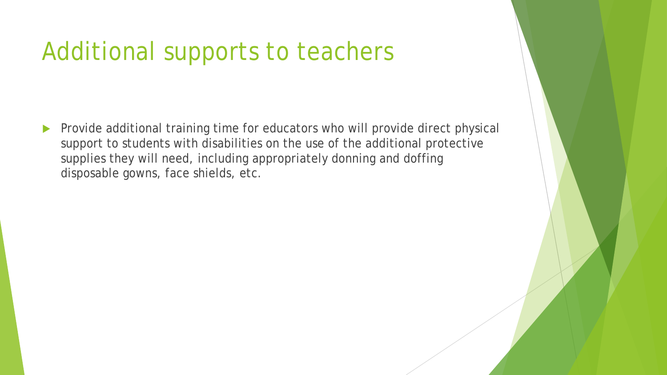# Additional supports to teachers

 Provide additional training time for educators who will provide direct physical support to students with disabilities on the use of the additional protective supplies they will need, including appropriately donning and doffing disposable gowns, face shields, etc.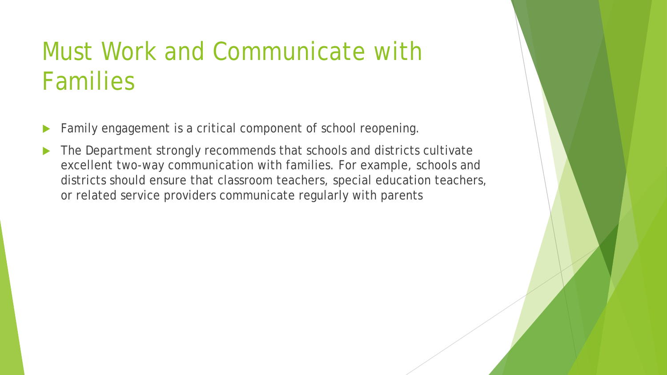# Must Work and Communicate with Families

- Family engagement is a critical component of school reopening.
- The Department strongly recommends that schools and districts cultivate excellent two-way communication with families. For example, schools and districts should ensure that classroom teachers, special education teachers, or related service providers communicate regularly with parents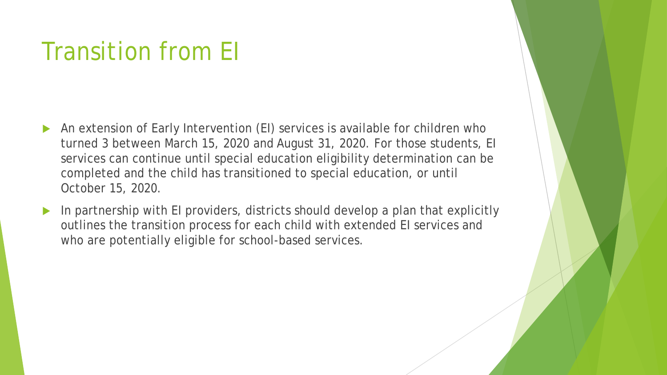# Transition from EI

- An extension of Early Intervention (EI) services is available for children who turned 3 between March 15, 2020 and August 31, 2020. For those students, EI services can continue until special education eligibility determination can be completed and the child has transitioned to special education, or until October 15, 2020.
- In partnership with EI providers, districts should develop a plan that explicitly outlines the transition process for each child with extended EI services and who are potentially eligible for school-based services.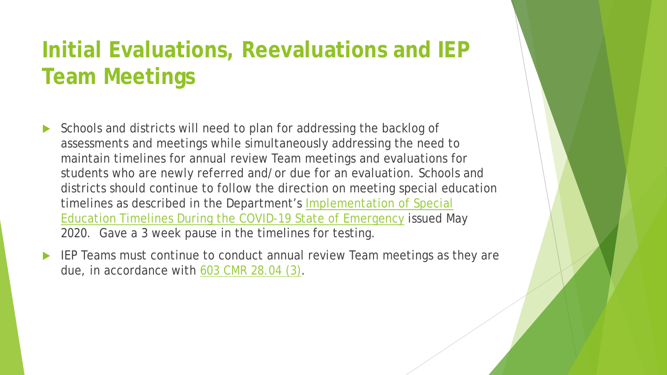### **Initial Evaluations, Reevaluations and IEP Team Meetings**

- Schools and districts will need to plan for addressing the backlog of assessments and meetings while simultaneously addressing the need to maintain timelines for annual review Team meetings and evaluations for students who are newly referred and/or due for an evaluation. Schools and districts should continue to follow the direction on meeting special education timelines as described in the Department's Implementation of Special Education Timelines During the COVID-19 State of Emergency issued May 2020. Gave a 3 week pause in the timelines for testing.
- IEP Teams must continue to conduct annual review Team meetings as they are due, in accordance with [603 CMR 28.04 \(3\).](http://www.doe.mass.edu/lawsregs/603cmr28.html?section=04)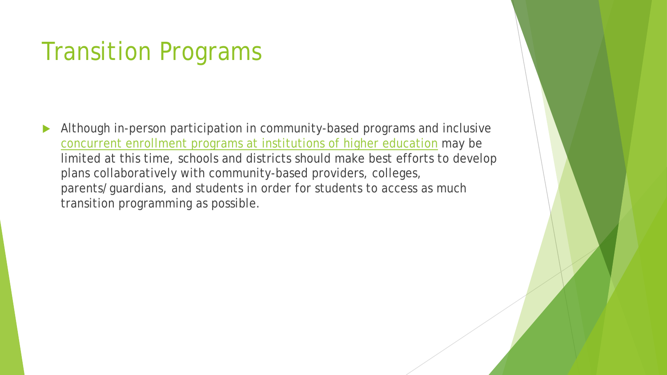# Transition Programs

 Although in-person participation in community-based programs and inclusive [concurrent enrollment programs at institutions of higher education](http://www.doe.mass.edu/covid19/on-desktop/2020-0508hs-guidance.docx) may be limited at this time, schools and districts should make best efforts to develop plans collaboratively with community-based providers, colleges, parents/guardians, and students in order for students to access as much transition programming as possible.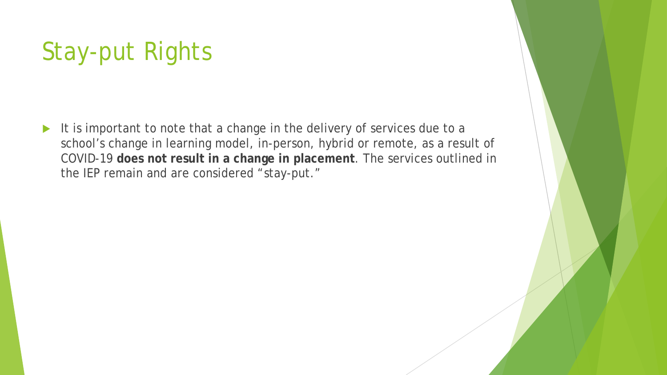# Stay-put Rights

It is important to note that a change in the delivery of services due to a school's change in learning model, in-person, hybrid or remote, as a result of COVID-19 **does not result in a change in placement**. The services outlined in the IEP remain and are considered "stay-put."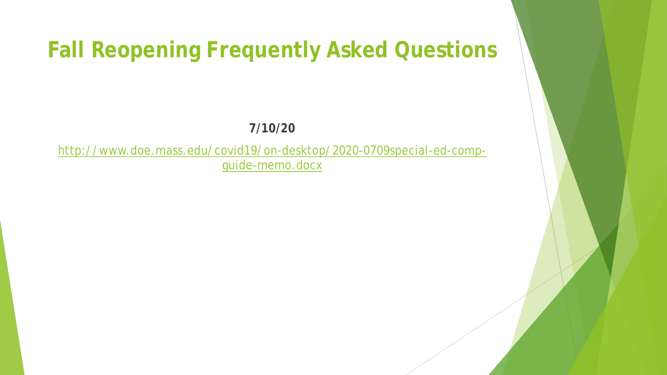#### **Fall Reopening Frequently Asked Questions**

#### **7/10/20**

[http://www.doe.mass.edu/covid19/on-desktop/2020-0709special-ed-comp](http://www.doe.mass.edu/covid19/on-desktop/2020-0709special-ed-comp-guide-memo.docx)guide-memo.docx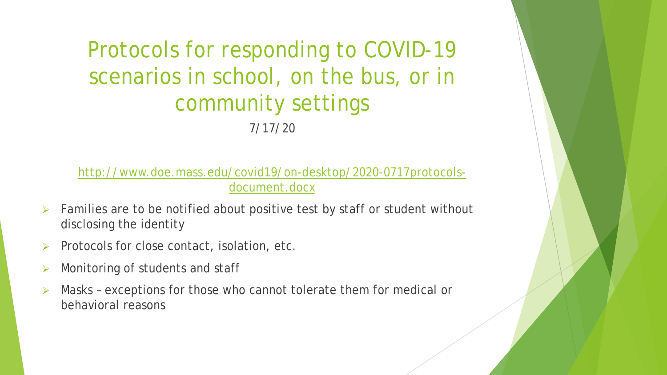Protocols for responding to COVID-19 scenarios in school, on the bus, or in community settings 7/17/20

[http://www.doe.mass.edu/covid19/on-desktop/2020-0717protocols](http://www.doe.mass.edu/covid19/on-desktop/2020-0717protocols-document.docx)document.docx

- Families are to be notified about positive test by staff or student without disclosing the identity
- Protocols for close contact, isolation, etc.
- Monitoring of students and staff
- Masks exceptions for those who cannot tolerate them for medical or behavioral reasons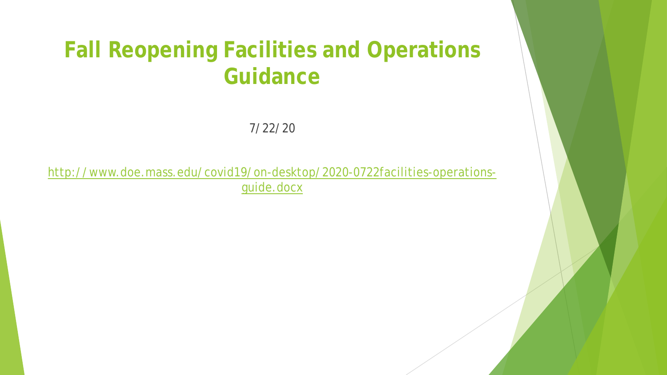#### **Fall Reopening Facilities and Operations Guidance**

7/22/20

[http://www.doe.mass.edu/covid19/on-desktop/2020-0722facilities-operations](http://www.doe.mass.edu/covid19/on-desktop/2020-0722facilities-operations-guide.docx)guide.docx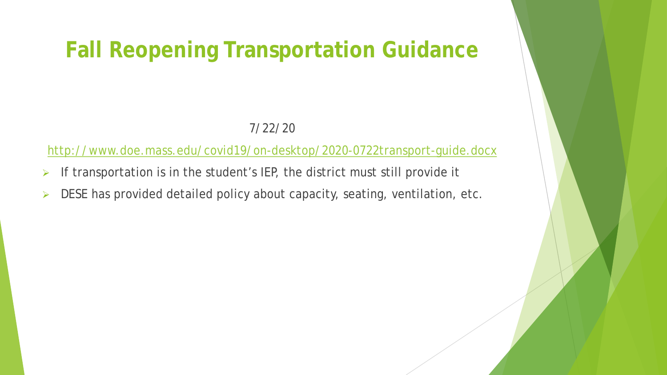#### **Fall Reopening Transportation Guidance**

#### 7/22/20

<http://www.doe.mass.edu/covid19/on-desktop/2020-0722transport-guide.docx>

- $\triangleright$  If transportation is in the student's IEP, the district must still provide it
- $\triangleright$  DESE has provided detailed policy about capacity, seating, ventilation, etc.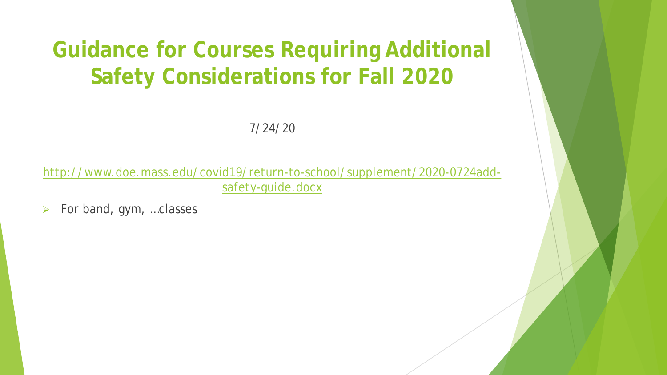### **Guidance for Courses Requiring Additional Safety Considerations for Fall 2020**

7/24/20

[http://www.doe.mass.edu/covid19/return-to-school/supplement/2020-0724add](http://www.doe.mass.edu/covid19/return-to-school/supplement/2020-0724add-safety-guide.docx)safety-guide.docx

 $\triangleright$  For band, gym, ... classes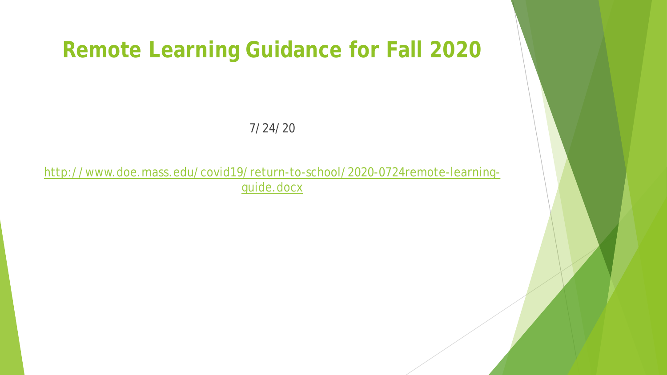#### **Remote Learning Guidance for Fall 2020**

7/24/20

[http://www.doe.mass.edu/covid19/return-to-school/2020-0724remote-learning](http://www.doe.mass.edu/covid19/return-to-school/2020-0724remote-learning-guide.docx)guide.docx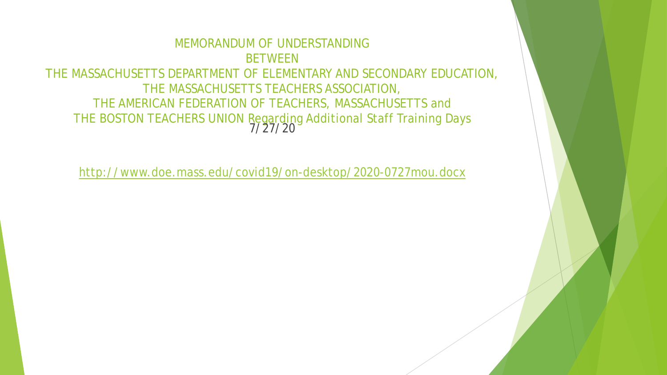#### MEMORANDUM OF UNDERSTANDING **BETWEEN** THE MASSACHUSETTS DEPARTMENT OF ELEMENTARY AND SECONDARY EDUCATION, THE MASSACHUSETTS TEACHERS ASSOCIATION, THE AMERICAN FEDERATION OF TEACHERS, MASSACHUSETTS and THE BOSTON TEACHERS UNION Regarding Additional Staff Training Days 7/27/20

<http://www.doe.mass.edu/covid19/on-desktop/2020-0727mou.docx>